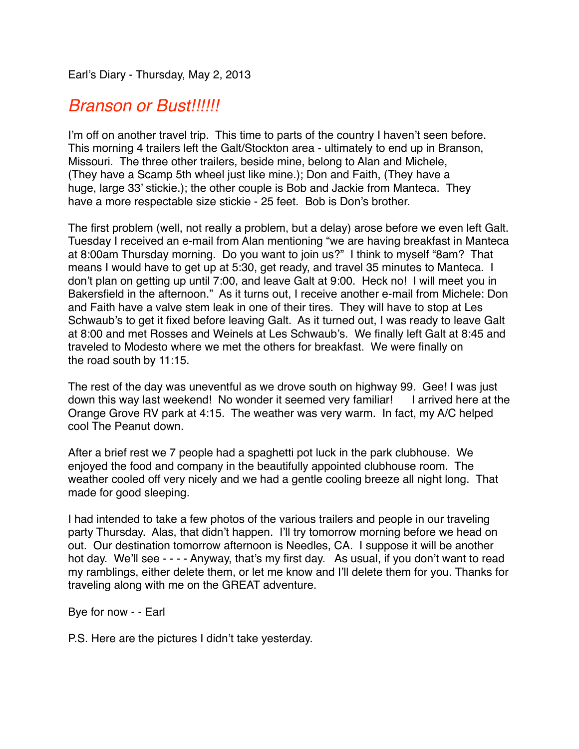Earl's Diary - Thursday, May 2, 2013

## *Branson or Bust!!!!!!*

I'm off on another travel trip. This time to parts of the country I haven't seen before. This morning 4 trailers left the Galt/Stockton area - ultimately to end up in Branson, Missouri. The three other trailers, beside mine, belong to Alan and Michele, (They have a Scamp 5th wheel just like mine.); Don and Faith, (They have a huge, large 33' stickie.); the other couple is Bob and Jackie from Manteca. They have a more respectable size stickie - 25 feet. Bob is Don's brother.

The first problem (well, not really a problem, but a delay) arose before we even left Galt. Tuesday I received an e-mail from Alan mentioning "we are having breakfast in Manteca at 8:00am Thursday morning. Do you want to join us?" I think to myself "8am? That means I would have to get up at 5:30, get ready, and travel 35 minutes to Manteca. I don't plan on getting up until 7:00, and leave Galt at 9:00. Heck no! I will meet you in Bakersfield in the afternoon." As it turns out, I receive another e-mail from Michele: Don and Faith have a valve stem leak in one of their tires. They will have to stop at Les Schwaub's to get it fixed before leaving Galt. As it turned out, I was ready to leave Galt at 8:00 and met Rosses and Weinels at Les Schwaub's. We finally left Galt at 8:45 and traveled to Modesto where we met the others for breakfast. We were finally on the road south by 11:15.

The rest of the day was uneventful as we drove south on highway 99. Gee! I was just down this way last weekend! No wonder it seemed very familiar! I arrived here at the Orange Grove RV park at 4:15. The weather was very warm. In fact, my A/C helped cool The Peanut down.

After a brief rest we 7 people had a spaghetti pot luck in the park clubhouse. We enjoyed the food and company in the beautifully appointed clubhouse room. The weather cooled off very nicely and we had a gentle cooling breeze all night long. That made for good sleeping.

I had intended to take a few photos of the various trailers and people in our traveling party Thursday. Alas, that didn't happen. I'll try tomorrow morning before we head on out. Our destination tomorrow afternoon is Needles, CA. I suppose it will be another hot day. We'll see - - - - Anyway, that's my first day. As usual, if you don't want to read my ramblings, either delete them, or let me know and I'll delete them for you. Thanks for traveling along with me on the GREAT adventure.

Bye for now - - Earl

P.S. Here are the pictures I didn't take yesterday.